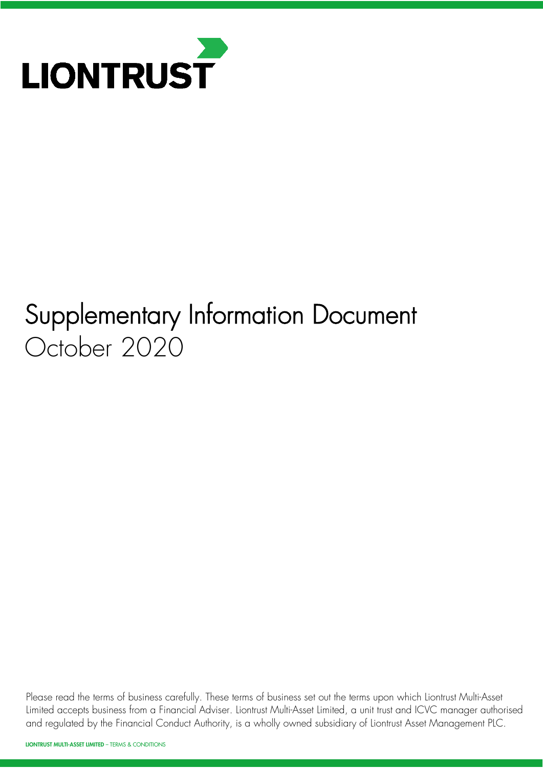

# Supplementary Information Document October 2020

Please read the terms of business carefully. These terms of business set out the terms upon which Liontrust Multi-Asset Limited accepts business from a Financial Adviser. Liontrust Multi-Asset Limited, a unit trust and ICVC manager authorised and regulated by the Financial Conduct Authority, is a wholly owned subsidiary of Liontrust Asset Management PLC.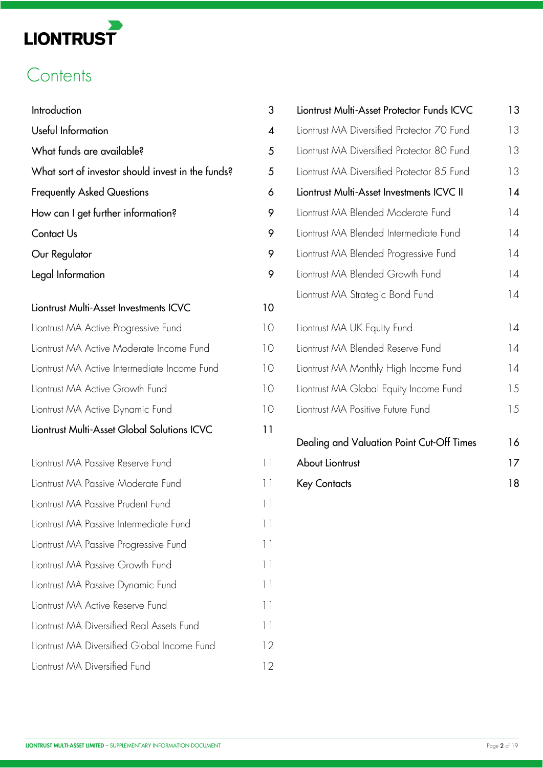# **Contents**

| Introduction                                      | 3                | Liontrust Multi-Asset Protector Funds ICVC | 13 |
|---------------------------------------------------|------------------|--------------------------------------------|----|
| Useful Information                                | $\boldsymbol{4}$ | Liontrust MA Diversified Protector 70 Fund | 13 |
| What funds are available?                         | 5                | Liontrust MA Diversified Protector 80 Fund | 13 |
| What sort of investor should invest in the funds? | 5                | Liontrust MA Diversified Protector 85 Fund | 13 |
| <b>Frequently Asked Questions</b>                 | 6                | Liontrust Multi-Asset Investments ICVC II  | 14 |
| How can I get further information?                | 9                | Liontrust MA Blended Moderate Fund         | 14 |
| Contact Us                                        | 9                | Liontrust MA Blended Intermediate Fund     | 14 |
| Our Regulator                                     | 9                | Liontrust MA Blended Progressive Fund      | 4  |
| Legal Information                                 | 9                | Liontrust MA Blended Growth Fund           | 4  |
| Liontrust Multi-Asset Investments ICVC            | 10               | Liontrust MA Strategic Bond Fund           | 4  |
| Liontrust MA Active Progressive Fund              | 10               | Liontrust MA UK Equity Fund                | 14 |
| Liontrust MA Active Moderate Income Fund          | 10               | Liontrust MA Blended Reserve Fund          | 14 |
| Liontrust MA Active Intermediate Income Fund      | 10               | Liontrust MA Monthly High Income Fund      | 14 |
| Liontrust MA Active Growth Fund                   | 10               | Liontrust MA Global Equity Income Fund     | 15 |
| Liontrust MA Active Dynamic Fund                  | 10               | Liontrust MA Positive Future Fund          | 15 |
| Liontrust Multi-Asset Global Solutions ICVC       | 11               | Dealing and Valuation Point Cut-Off Times  | 16 |
| Liontrust MA Passive Reserve Fund                 | $\vert \vert$    | About Liontrust                            | 17 |
| Liontrust MA Passive Moderate Fund                | $\vert \vert$    | <b>Key Contacts</b>                        | 18 |
| Liontrust MA Passive Prudent Fund                 | $\vert \vert$    |                                            |    |
| Liontrust MA Passive Intermediate Fund            | $\vert \vert$    |                                            |    |
| Liontrust MA Passive Progressive Fund             | $\vert \vert$    |                                            |    |
| Liontrust MA Passive Growth Fund                  | 11               |                                            |    |
| Liontrust MA Passive Dynamic Fund                 | 11               |                                            |    |
| Liontrust MA Active Reserve Fund                  | $\vert \vert$    |                                            |    |
| Liontrust MA Diversified Real Assets Fund         | $\vert \vert$    |                                            |    |
| Liontrust MA Diversified Global Income Fund       | 12               |                                            |    |
| Liontrust MA Diversified Fund                     | 12               |                                            |    |

| Introduction                                      | 3                        | Liontrust Multi-Asset Protector Funds ICVC | 13 |
|---------------------------------------------------|--------------------------|--------------------------------------------|----|
| Useful Information                                | $\overline{\mathcal{A}}$ | Liontrust MA Diversified Protector 70 Fund | 13 |
| What funds are available?                         | 5                        | Liontrust MA Diversified Protector 80 Fund | 13 |
| What sort of investor should invest in the funds? | 5                        | Liontrust MA Diversified Protector 85 Fund | 13 |
| <b>Frequently Asked Questions</b>                 | 6                        | Liontrust Multi-Asset Investments ICVC II  | 14 |
| How can I get further information?                | 9                        | Liontrust MA Blended Moderate Fund         | 14 |
| Contact Us                                        | 9                        | Liontrust MA Blended Intermediate Fund     | 14 |
| Our Regulator                                     | 9                        | Liontrust MA Blended Progressive Fund      | 14 |
| Legal Information                                 | 9                        | Liontrust MA Blended Growth Fund           | 14 |
|                                                   |                          | Liontrust MA Strategic Bond Fund           | 14 |
| Liontrust Multi-Asset Investments ICVC            | 10                       |                                            |    |
| Liontrust MA Active Progressive Fund              | 10                       | Liontrust MA UK Equity Fund                | 14 |
| Liontrust MA Active Moderate Income Fund          | 10                       | Liontrust MA Blended Reserve Fund          | 14 |
| Liontrust MA Active Intermediate Income Fund      | 10                       | Liontrust MA Monthly High Income Fund      | 14 |
| Liontrust MA Active Growth Fund                   | 10                       | Liontrust MA Global Equity Income Fund     | 15 |
| Liontrust MA Active Dynamic Fund                  | 10                       | Liontrust MA Positive Future Fund          | 15 |
| Liontrust Multi-Asset Global Solutions ICVC       | 11                       |                                            |    |
|                                                   |                          | Dealing and Valuation Point Cut-Off Times  | 16 |
| Liontrust MA Passive Reserve Fund                 | $\vert \vert$            | About Liontrust                            | 17 |
| Liontrust MA Passive Moderate Fund                | $\vert \vert$            | <b>Key Contacts</b>                        | 18 |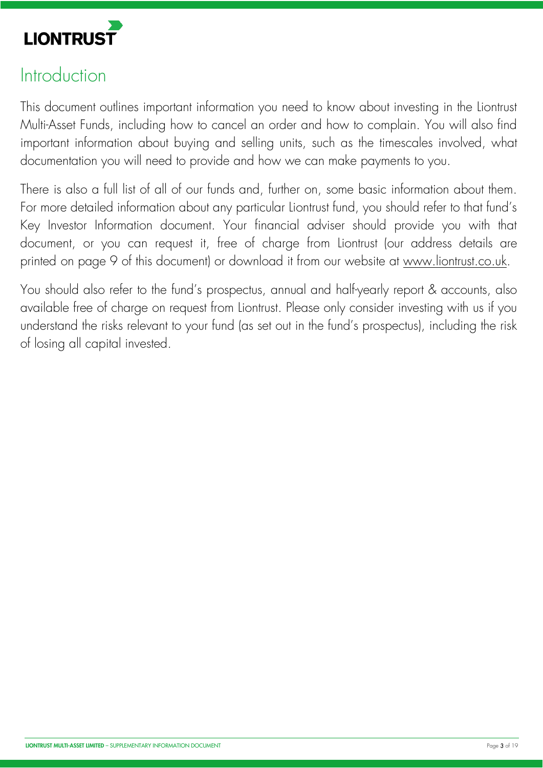

# **Introduction**

This document outlines important information you need to know about investing in the Liontrust Multi-Asset Funds, including how to cancel an order and how to complain. You will also find important information about buying and selling units, such as the timescales involved, what documentation you will need to provide and how we can make payments to you.

There is also a full list of all of our funds and, further on, some basic information about them. For more detailed information about any particular Liontrust fund, you should refer to that fund's Key Investor Information document. Your financial adviser should provide you with that document, or you can request it, free of charge from Liontrust (our address details are printed on page 9 of this document) or download it from our website at [www.liontrust.co.uk.](https://www.liontrust.co.uk.)

You should also refer to the fund's prospectus, annual and half-yearly report & accounts, also available free of charge on request from Liontrust. Please only consider investing with us if you understand the risks relevant to your fund (as set out in the fund's prospectus), including the risk of losing all capital invested.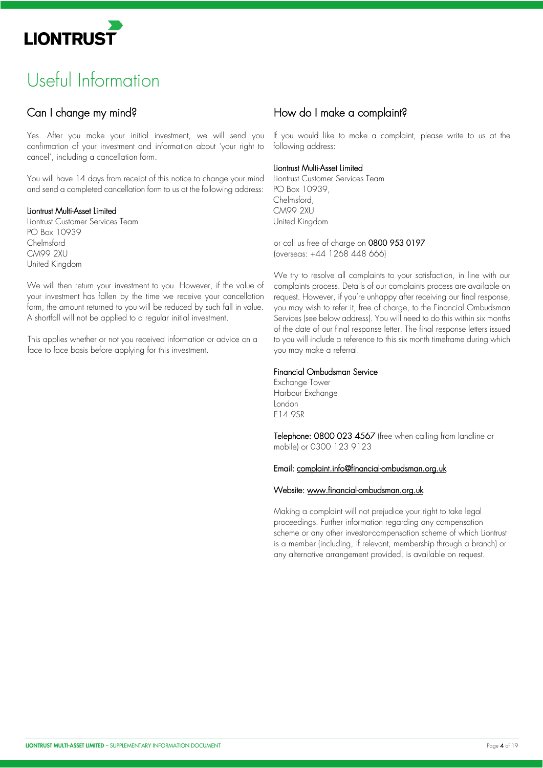

# Useful Information

# Can I change my mind?

Yes. After you make your initial investment, we will send you confirmation of your investment and information about 'your right to cancel', including a cancellation form.

You will have 14 days from receipt of this notice to change your mind and send a completed cancellation form to us at the following address:

#### Liontrust Multi-Asset Limited

Liontrust Customer Services Team PO Box 10939 Chelmsford CM99 2XU United Kingdom

We will then return your investment to you. However, if the value of your investment has fallen by the time we receive your cancellation form, the amount returned to you will be reduced by such fall in value. A shortfall will not be applied to a regular initial investment.

This applies whether or not you received information or advice on a face to face basis before applying for this investment.

## How do I make a complaint?

If you would like to make a complaint, please write to us at the following address:

#### Liontrust Multi-Asset Limited

Liontrust Customer Services Team PO Box 10939, Chelmsford, CM99 2XU United Kingdom

or call us free of charge on 0800 953 0197 (overseas: +44 1268 448 666)

We try to resolve all complaints to your satisfaction, in line with our complaints process. Details of our complaints process are available on request. However, if you're unhappy after receiving our final response, you may wish to refer it, free of charge, to the Financial Ombudsman Services (see below address). You will need to do this within six months of the date of our final response letter. The final response letters issued to you will include a reference to this six month timeframe during which you may make a referral.

#### Financial Ombudsman Service

Exchange Tower Harbour Exchange London E14 9SR

Telephone: 0800 023 4567 (free when calling from landline or mobile) or 0300 123 9123

#### Email: [complaint.info@financial-ombudsman.org.uk](mailto:complaint.info@financial-ombudsman.org.uk)

#### Website: [www.financial-ombudsman.org.uk](https://www.financial-ombudsman.org.uk)

Making a complaint will not prejudice your right to take legal proceedings. Further information regarding any compensation scheme or any other investor-compensation scheme of which Liontrust is a member (including, if relevant, membership through a branch) or any alternative arrangement provided, is available on request.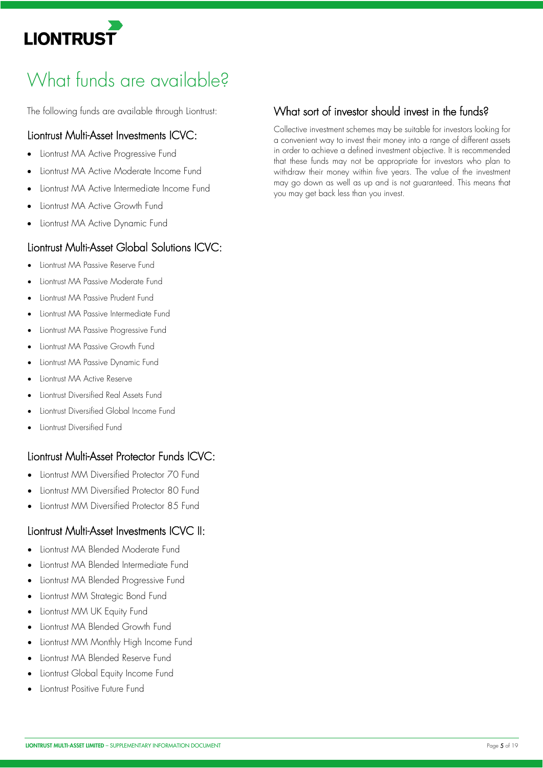

# What funds are available?

The following funds are available through Liontrust:

### Liontrust Multi-Asset Investments ICVC:

- Liontrust MA Active Progressive Fund
- Liontrust MA Active Moderate Income Fund
- Liontrust MA Active Intermediate Income Fund
- Liontrust MA Active Growth Fund
- Liontrust MA Active Dynamic Fund

## Liontrust Multi-Asset Global Solutions ICVC:

- Liontrust MA Passive Reserve Fund
- Liontrust MA Passive Moderate Fund
- Liontrust MA Passive Prudent Fund
- Liontrust MA Passive Intermediate Fund
- Liontrust MA Passive Progressive Fund
- Liontrust MA Passive Growth Fund
- Liontrust MA Passive Dynamic Fund
- Liontrust MA Active Reserve
- Liontrust Diversified Real Assets Fund
- Liontrust Diversified Global Income Fund
- Liontrust Diversified Fund

# Liontrust Multi-Asset Protector Funds ICVC:

- Liontrust MM Diversified Protector 70 Fund
- Liontrust MM Diversified Protector 80 Fund
- Liontrust MM Diversified Protector 85 Fund

## Liontrust Multi-Asset Investments ICVC II:

- Liontrust MA Blended Moderate Fund
- Liontrust MA Blended Intermediate Fund
- Liontrust MA Blended Progressive Fund
- Liontrust MM Strategic Bond Fund
- Liontrust MM UK Equity Fund
- Liontrust MA Blended Growth Fund
- Liontrust MM Monthly High Income Fund
- Liontrust MA Blended Reserve Fund
- Liontrust Global Equity Income Fund
- Liontrust Positive Future Fund

# What sort of investor should invest in the funds?

Collective investment schemes may be suitable for investors looking for a convenient way to invest their money into a range of different assets in order to achieve a defined investment objective. It is recommended that these funds may not be appropriate for investors who plan to withdraw their money within five years. The value of the investment may go down as well as up and is not guaranteed. This means that you may get back less than you invest.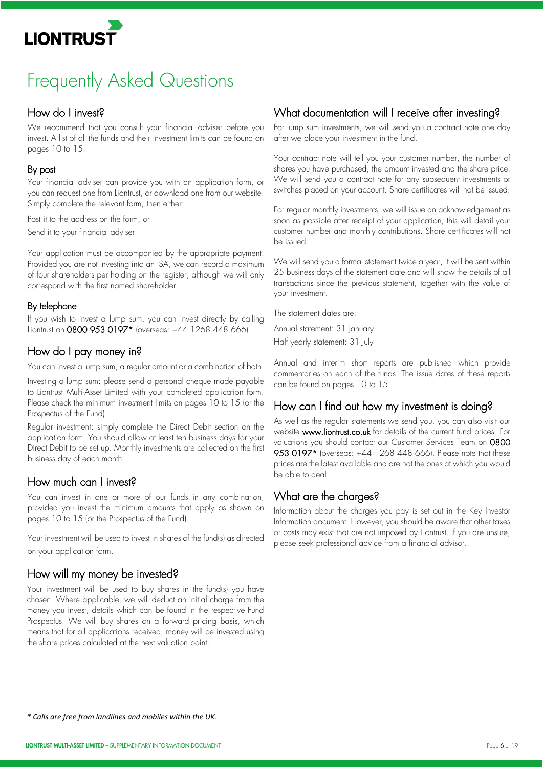# Frequently Asked Questions

# How do I invest?

We recommend that you consult your financial adviser before you invest. A list of all the funds and their investment limits can be found on pages 10 to 15.

#### By post

Your financial adviser can provide you with an application form, or you can request one from Liontrust, or download one from our website. Simply complete the relevant form, then either:

Post it to the address on the form, or

Send it to your financial adviser.

Your application must be accompanied by the appropriate payment. Provided you are not investing into an ISA, we can record a maximum of four shareholders per holding on the register, although we will only correspond with the first named shareholder.

#### By telephone

If you wish to invest a lump sum, you can invest directly by calling Liontrust on 0800 953 0197\* (overseas: +44 1268 448 666).

# How do I pay money in?

You can invest a lump sum, a regular amount or a combination of both.

Investing a lump sum: please send a personal cheque made payable to Liontrust Multi-Asset Limited with your completed application form. Please check the minimum investment limits on pages 10 to 15 (or the Prospectus of the Fund).

Regular investment: simply complete the Direct Debit section on the application form. You should allow at least ten business days for your Direct Debit to be set up. Monthly investments are collected on the first business day of each month.

# How much can I invest?

You can invest in one or more of our funds in any combination, provided you invest the minimum amounts that apply as shown on pages 10 to 15 (or the Prospectus of the Fund).

Your investment will be used to invest in shares of the fund(s) as directed on your application form.

## How will my money be invested?

Your investment will be used to buy shares in the fund(s) you have chosen. Where applicable, we will deduct an initial charge from the money you invest, details which can be found in the respective Fund Prospectus. We will buy shares on a forward pricing basis, which means that for all applications received, money will be invested using the share prices calculated at the next valuation point.

# What documentation will I receive after investing?

For lump sum investments, we will send you a contract note one day after we place your investment in the fund.

Your contract note will tell you your customer number, the number of shares you have purchased, the amount invested and the share price. We will send you a contract note for any subsequent investments or switches placed on your account. Share certificates will not be issued.

For regular monthly investments, we will issue an acknowledgement as soon as possible after receipt of your application, this will detail your customer number and monthly contributions. Share certificates will not be issued.

We will send you a formal statement twice a year, it will be sent within 25 business days of the statement date and will show the details of all transactions since the previous statement, together with the value of your investment.

The statement dates are:

Annual statement: 31 January Half yearly statement: 31 July

Annual and interim short reports are published which provide commentaries on each of the funds. The issue dates of these reports can be found on pages 10 to 15.

# How can I find out how my investment is doing?

As well as the regular statements we send you, you can also visit our website **[www.liontrust.co.uk](https://www.liontrust.co.uk)** for details of the current fund prices. For valuations you should contact our Customer Services Team on 0800 953 0197\* (overseas: +44 1268 448 666). Please note that these prices are the latest available and are not the ones at which you would be able to deal.

# What are the charges?

Information about the charges you pay is set out in the Key Investor Information document. However, you should be aware that other taxes or costs may exist that are not imposed by Liontrust. If you are unsure, please seek professional advice from a financial advisor.

*\* Calls are free from landlines and mobiles within the UK.*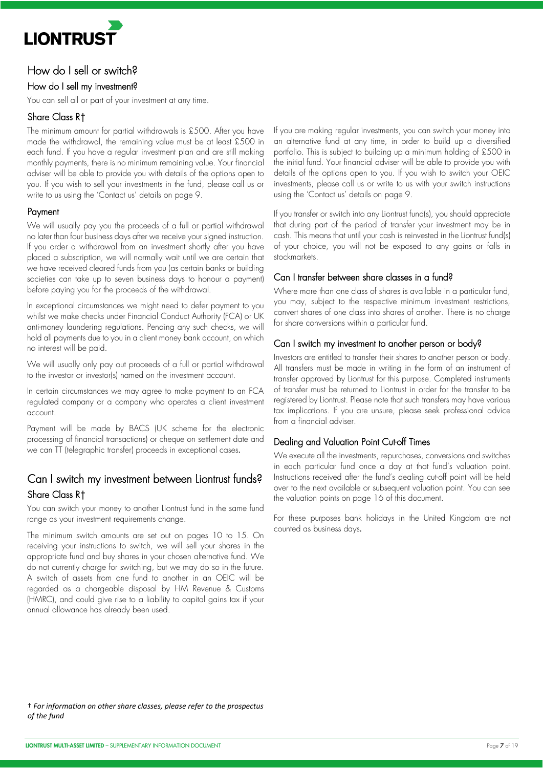

### How do I sell or switch?

#### How do I sell my investment?

You can sell all or part of your investment at any time.

#### Share Class R†

The minimum amount for partial withdrawals is £500. After you have made the withdrawal, the remaining value must be at least £500 in each fund. If you have a regular investment plan and are still making monthly payments, there is no minimum remaining value. Your financial adviser will be able to provide you with details of the options open to you. If you wish to sell your investments in the fund, please call us or write to us using the 'Contact us' details on page 9.

#### Payment

We will usually pay you the proceeds of a full or partial withdrawal no later than four business days after we receive your signed instruction. If you order a withdrawal from an investment shortly after you have placed a subscription, we will normally wait until we are certain that we have received cleared funds from you (as certain banks or building societies can take up to seven business days to honour a payment) before paying you for the proceeds of the withdrawal.

In exceptional circumstances we might need to defer payment to you whilst we make checks under Financial Conduct Authority (FCA) or UK anti-money laundering regulations. Pending any such checks, we will hold all payments due to you in a client money bank account, on which no interest will be paid.

We will usually only pay out proceeds of a full or partial withdrawal to the investor or investor(s) named on the investment account.

In certain circumstances we may agree to make payment to an FCA regulated company or a company who operates a client investment account.

Payment will be made by BACS (UK scheme for the electronic processing of financial transactions) or cheque on settlement date and we can TT (telegraphic transfer) proceeds in exceptional cases.

### Can I switch my investment between Liontrust funds? Share Class R†

You can switch your money to another Liontrust fund in the same fund range as your investment requirements change.

The minimum switch amounts are set out on pages 10 to 15. On receiving your instructions to switch, we will sell your shares in the appropriate fund and buy shares in your chosen alternative fund. We do not currently charge for switching, but we may do so in the future. A switch of assets from one fund to another in an OEIC will be regarded as a chargeable disposal by HM Revenue & Customs (HMRC), and could give rise to a liability to capital gains tax if your annual allowance has already been used.

If you are making regular investments, you can switch your money into an alternative fund at any time, in order to build up a diversified portfolio. This is subject to building up a minimum holding of £500 in the initial fund. Your financial adviser will be able to provide you with details of the options open to you. If you wish to switch your OEIC investments, please call us or write to us with your switch instructions using the 'Contact us' details on page 9.

If you transfer or switch into any Liontrust fund(s), you should appreciate that during part of the period of transfer your investment may be in cash. This means that until your cash is reinvested in the Liontrust fund(s) of your choice, you will not be exposed to any gains or falls in stockmarkets.

#### Can I transfer between share classes in a fund?

Where more than one class of shares is available in a particular fund, you may, subject to the respective minimum investment restrictions, convert shares of one class into shares of another. There is no charge for share conversions within a particular fund.

#### Can I switch my investment to another person or body?

Investors are entitled to transfer their shares to another person or body. All transfers must be made in writing in the form of an instrument of transfer approved by Liontrust for this purpose. Completed instruments of transfer must be returned to Liontrust in order for the transfer to be registered by Liontrust. Please note that such transfers may have various tax implications. If you are unsure, please seek professional advice from a financial adviser.

#### Dealing and Valuation Point Cut-off Times

We execute all the investments, repurchases, conversions and switches in each particular fund once a day at that fund's valuation point. Instructions received after the fund's dealing cut-off point will be held over to the next available or subsequent valuation point. You can see the valuation points on page 16 of this document.

For these purposes bank holidays in the United Kingdom are not counted as business days.

† *For information on other share classes, please refer to the prospectus of the fund*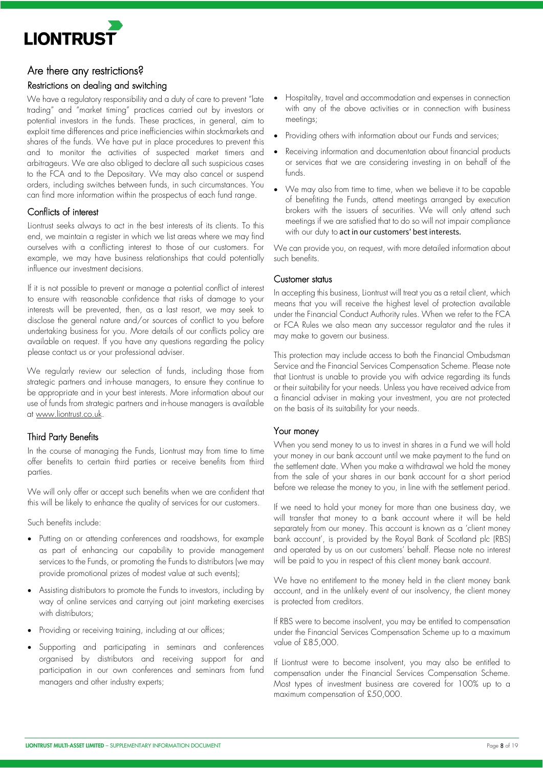

#### Are there any restrictions?

#### Restrictions on dealing and switching

We have a regulatory responsibility and a duty of care to prevent "late" trading" and "market timing" practices carried out by investors or potential investors in the funds. These practices, in general, aim to exploit time differences and price inefficiencies within stockmarkets and shares of the funds. We have put in place procedures to prevent this and to monitor the activities of suspected market timers and arbitrageurs. We are also obliged to declare all such suspicious cases to the FCA and to the Depositary. We may also cancel or suspend orders, including switches between funds, in such circumstances. You can find more information within the prospectus of each fund range.

#### Conflicts of interest

Liontrust seeks always to act in the best interests of its clients. To this end, we maintain a register in which we list areas where we may find ourselves with a conflicting interest to those of our customers. For example, we may have business relationships that could potentially influence our investment decisions.

If it is not possible to prevent or manage a potential conflict of interest to ensure with reasonable confidence that risks of damage to your interests will be prevented, then, as a last resort, we may seek to disclose the general nature and/or sources of conflict to you before undertaking business for you. More details of our conflicts policy are available on request. If you have any questions regarding the policy please contact us or your professional adviser.

We regularly review our selection of funds, including those from strategic partners and in-house managers, to ensure they continue to be appropriate and in your best interests. More information about our use of funds from strategic partners and in-house managers is available at [www.liontrust.co.uk.](https://www.liontrust.co.uk)

#### Third Party Benefits

In the course of managing the Funds, Liontrust may from time to time offer benefits to certain third parties or receive benefits from third parties.

We will only offer or accept such benefits when we are confident that this will be likely to enhance the quality of services for our customers.

Such benefits include:

- Putting on or attending conferences and roadshows, for example as part of enhancing our capability to provide management services to the Funds, or promoting the Funds to distributors (we may provide promotional prizes of modest value at such events);
- Assisting distributors to promote the Funds to investors, including by way of online services and carrying out joint marketing exercises with distributors;
- Providing or receiving training, including at our offices;
- Supporting and participating in seminars and conferences organised by distributors and receiving support for and participation in our own conferences and seminars from fund managers and other industry experts;
- Hospitality, travel and accommodation and expenses in connection with any of the above activities or in connection with business meetings;
- Providing others with information about our Funds and services;
- Receiving information and documentation about financial products or services that we are considering investing in on behalf of the funds.
- We may also from time to time, when we believe it to be capable of benefiting the Funds, attend meetings arranged by execution brokers with the issuers of securities. We will only attend such meetings if we are satisfied that to do so will not impair compliance with our duty to act in our customers' best interests.

We can provide you, on request, with more detailed information about such benefits.

#### Customer status

In accepting this business, Liontrust will treat you as a retail client, which means that you will receive the highest level of protection available under the Financial Conduct Authority rules. When we refer to the FCA or FCA Rules we also mean any successor regulator and the rules it may make to govern our business.

This protection may include access to both the Financial Ombudsman Service and the Financial Services Compensation Scheme. Please note that Liontrust is unable to provide you with advice regarding its funds or their suitability for your needs. Unless you have received advice from a financial adviser in making your investment, you are not protected on the basis of its suitability for your needs.

#### Your money

When you send money to us to invest in shares in a Fund we will hold your money in our bank account until we make payment to the fund on the settlement date. When you make a withdrawal we hold the money from the sale of your shares in our bank account for a short period before we release the money to you, in line with the settlement period.

If we need to hold your money for more than one business day, we will transfer that money to a bank account where it will be held separately from our money. This account is known as a 'client money bank account', is provided by the Royal Bank of Scotland plc (RBS) and operated by us on our customers' behalf. Please note no interest will be paid to you in respect of this client money bank account.

We have no entitlement to the money held in the client money bank account, and in the unlikely event of our insolvency, the client money is protected from creditors.

If RBS were to become insolvent, you may be entitled to compensation under the Financial Services Compensation Scheme up to a maximum value of £85,000.

If Liontrust were to become insolvent, you may also be entitled to compensation under the Financial Services Compensation Scheme. Most types of investment business are covered for 100% up to a maximum compensation of £50,000.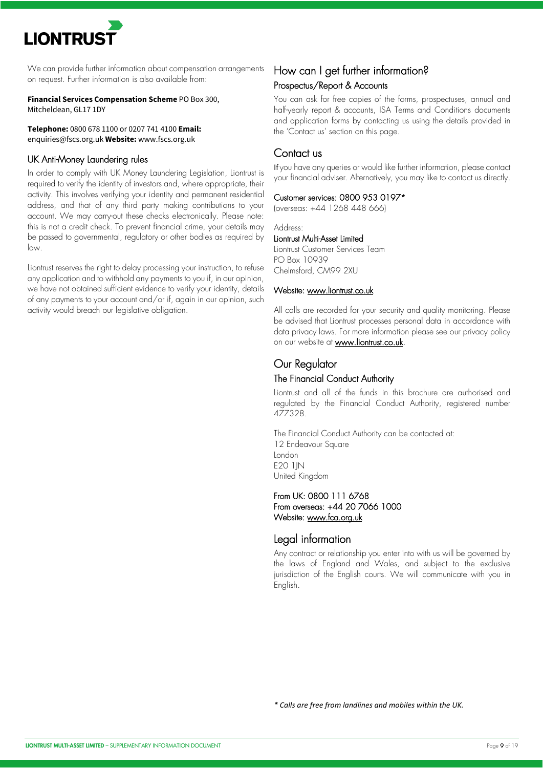We can provide further information about compensation arrangements on request. Further information is also available from:

**Financial Services Compensation Scheme** PO Box 300, Mitcheldean, GL17 1DY

**Telephone:** 0800 678 1100 or 0207 741 4100 **Email:**  enquiries@fscs.org.uk **Website:** www.fscs.org.uk

#### UK Anti-Money Laundering rules

In order to comply with UK Money Laundering Legislation, Liontrust is required to verify the identity of investors and, where appropriate, their activity. This involves verifying your identity and permanent residential address, and that of any third party making contributions to your account. We may carry-out these checks electronically. Please note: this is not a credit check. To prevent financial crime, your details may be passed to governmental, regulatory or other bodies as required by law.

Liontrust reserves the right to delay processing your instruction, to refuse any application and to withhold any payments to you if, in our opinion, we have not obtained sufficient evidence to verify your identity, details of any payments to your account and/or if, again in our opinion, such activity would breach our legislative obligation.

### How can I get further information? Prospectus/Report & Accounts

You can ask for free copies of the forms, prospectuses, annual and half-yearly report & accounts, ISA Terms and Conditions documents and application forms by contacting us using the details provided in the 'Contact us' section on this page.

### Contact us

If you have any queries or would like further information, please contact your financial adviser. Alternatively, you may like to contact us directly.

#### Customer services: 0800 953 0197\*

(overseas: +44 1268 448 666)

#### Address:

Liontrust Multi-Asset Limited Liontrust Customer Services Team PO Box 10939 Chelmsford, CM99 2XU

#### Website: [www.liontrust.co.uk](https://www.liontrust.co.uk)

All calls are recorded for your security and quality monitoring. Please be advised that Liontrust processes personal data in accordance with data privacy laws. For more information please see our privacy policy on our website at [www.liontrust.co.uk.](https://www.liontrust.co.uk.) 

### Our Regulator

#### The Financial Conduct Authority

Liontrust and all of the funds in this brochure are authorised and regulated by the Financial Conduct Authority, registered number 477328.

The Financial Conduct Authority can be contacted at: 12 Endeavour Square London **E20 1IN** United Kingdom

#### From UK: 0800 111 6768 From overseas: +44 20 7066 1000 Website: [www.fca.org.uk](https://www.fac.org.uk)

## Legal information

Any contract or relationship you enter into with us will be governed by the laws of England and Wales, and subject to the exclusive jurisdiction of the English courts. We will communicate with you in English.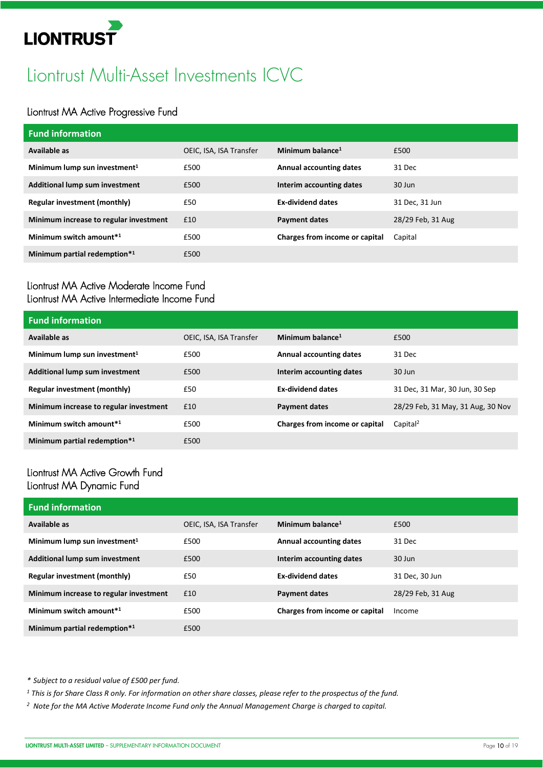# Liontrust Multi-Asset Investments ICVC

## Liontrust MA Active Progressive Fund

| <b>Fund information</b>                  |                         |                                |                   |
|------------------------------------------|-------------------------|--------------------------------|-------------------|
| Available as                             | OEIC, ISA, ISA Transfer | Minimum balance <sup>1</sup>   | £500              |
| Minimum lump sun investment <sup>1</sup> | £500                    | <b>Annual accounting dates</b> | 31 Dec            |
| Additional lump sum investment           | £500                    | Interim accounting dates       | 30 Jun            |
| <b>Regular investment (monthly)</b>      | £50                     | <b>Ex-dividend dates</b>       | 31 Dec, 31 Jun    |
| Minimum increase to regular investment   | £10                     | <b>Payment dates</b>           | 28/29 Feb, 31 Aug |
| Minimum switch amount <sup>*1</sup>      | £500                    | Charges from income or capital | Capital           |
| Minimum partial redemption*1             | £500                    |                                |                   |

### Liontrust MA Active Moderate Income Fund Liontrust MA Active Intermediate Income Fund

| <b>Fund information</b>                  |                         |                                |                                   |
|------------------------------------------|-------------------------|--------------------------------|-----------------------------------|
| Available as                             | OEIC, ISA, ISA Transfer | Minimum balance <sup>1</sup>   | £500                              |
| Minimum lump sun investment <sup>1</sup> | £500                    | <b>Annual accounting dates</b> | 31 Dec                            |
| Additional lump sum investment           | £500                    | Interim accounting dates       | $30$ Jun                          |
| Regular investment (monthly)             | £50                     | <b>Ex-dividend dates</b>       | 31 Dec, 31 Mar, 30 Jun, 30 Sep    |
| Minimum increase to regular investment   | £10                     | <b>Payment dates</b>           | 28/29 Feb, 31 May, 31 Aug, 30 Nov |
| Minimum switch amount <sup>*1</sup>      | £500                    | Charges from income or capital | Capital <sup>2</sup>              |
| Minimum partial redemption*1             | £500                    |                                |                                   |

### Liontrust MA Active Growth Fund Liontrust MA Dynamic Fund

| <b>Fund information</b>                  |                         |                                |                   |
|------------------------------------------|-------------------------|--------------------------------|-------------------|
| Available as                             | OEIC, ISA, ISA Transfer | Minimum balance <sup>1</sup>   | £500              |
| Minimum lump sun investment <sup>1</sup> | £500                    | <b>Annual accounting dates</b> | 31 Dec            |
| Additional lump sum investment           | £500                    | Interim accounting dates       | $30$ Jun          |
| Regular investment (monthly)             | £50                     | <b>Ex-dividend dates</b>       | 31 Dec. 30 Jun    |
| Minimum increase to regular investment   | £10                     | <b>Payment dates</b>           | 28/29 Feb, 31 Aug |
| Minimum switch amount <sup>*1</sup>      | £500                    | Charges from income or capital | Income            |
| Minimum partial redemption*1             | £500                    |                                |                   |

*\* Subject to a residual value of £500 per fund.* 

*<sup>1</sup> This is for Share Class R only. For information on other share classes, please refer to the prospectus of the fund.* 

*2 Note for the MA Active Moderate Income Fund only the Annual Management Charge is charged to capital.*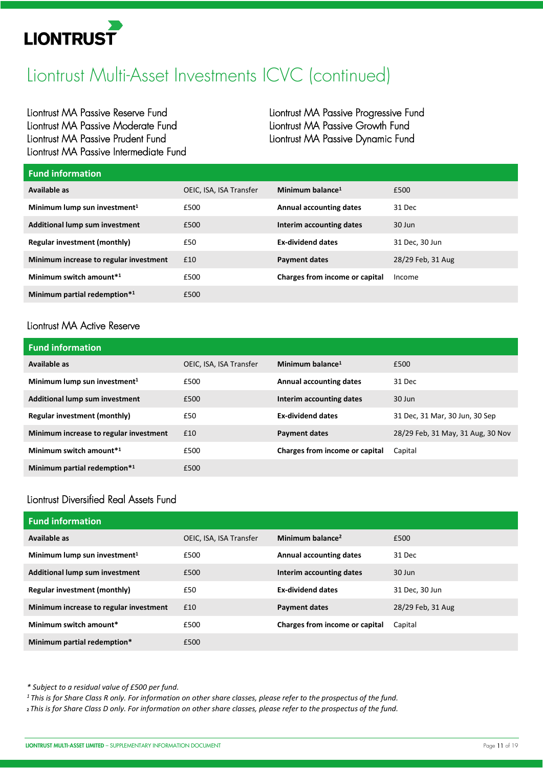

# Liontrust Multi-Asset Investments ICVC (continued)

Liontrust MA Passive Reserve Fund Liontrust MA Passive Moderate Fund Liontrust MA Passive Prudent Fund Liontrust MA Passive Intermediate Fund Liontrust MA Passive Progressive Fund Liontrust MA Passive Growth Fund Liontrust MA Passive Dynamic Fund

| <b>Fund information</b>                  |                         |                                |                   |
|------------------------------------------|-------------------------|--------------------------------|-------------------|
| Available as                             | OEIC, ISA, ISA Transfer | Minimum balance <sup>1</sup>   | £500              |
| Minimum lump sun investment <sup>1</sup> | £500                    | <b>Annual accounting dates</b> | 31 Dec            |
| Additional lump sum investment           | £500                    | Interim accounting dates       | $30$ Jun          |
| Regular investment (monthly)             | £50                     | <b>Ex-dividend dates</b>       | 31 Dec, 30 Jun    |
| Minimum increase to regular investment   | £10                     | <b>Payment dates</b>           | 28/29 Feb, 31 Aug |
| Minimum switch amount <sup>*1</sup>      | £500                    | Charges from income or capital | Income            |
| Minimum partial redemption*1             | £500                    |                                |                   |

# Liontrust MA Active Reserve

| <b>Fund information</b>                  |                         |                                |                                   |
|------------------------------------------|-------------------------|--------------------------------|-----------------------------------|
| Available as                             | OEIC, ISA, ISA Transfer | Minimum balance <sup>1</sup>   | £500                              |
| Minimum lump sun investment <sup>1</sup> | £500                    | <b>Annual accounting dates</b> | 31 Dec                            |
| Additional lump sum investment           | £500                    | Interim accounting dates       | 30 Jun                            |
| <b>Regular investment (monthly)</b>      | £50                     | <b>Ex-dividend dates</b>       | 31 Dec, 31 Mar, 30 Jun, 30 Sep    |
| Minimum increase to regular investment   | £10                     | <b>Payment dates</b>           | 28/29 Feb, 31 May, 31 Aug, 30 Nov |
| Minimum switch amount*1                  | £500                    | Charges from income or capital | Capital                           |
| Minimum partial redemption*1             | £500                    |                                |                                   |

# Liontrust Diversified Real Assets Fund

| <b>Fund information</b>                  |                         |                                |                   |
|------------------------------------------|-------------------------|--------------------------------|-------------------|
| Available as                             | OEIC, ISA, ISA Transfer | Minimum balance <sup>2</sup>   | £500              |
| Minimum lump sun investment <sup>1</sup> | £500                    | <b>Annual accounting dates</b> | 31 Dec            |
| Additional lump sum investment           | £500                    | Interim accounting dates       | $30$ Jun          |
| Regular investment (monthly)             | £50                     | <b>Ex-dividend dates</b>       | 31 Dec, 30 Jun    |
| Minimum increase to regular investment   | £10                     | <b>Payment dates</b>           | 28/29 Feb, 31 Aug |
| Minimum switch amount*                   | £500                    | Charges from income or capital | Capital           |
| Minimum partial redemption*              | £500                    |                                |                   |

*\* Subject to a residual value of £500 per fund.* 

*1 This is for Share Class R only. For information on other share classes, please refer to the prospectus of the fund.* 

**2** *This is for Share Class D only. For information on other share classes, please refer to the prospectus of the fund.*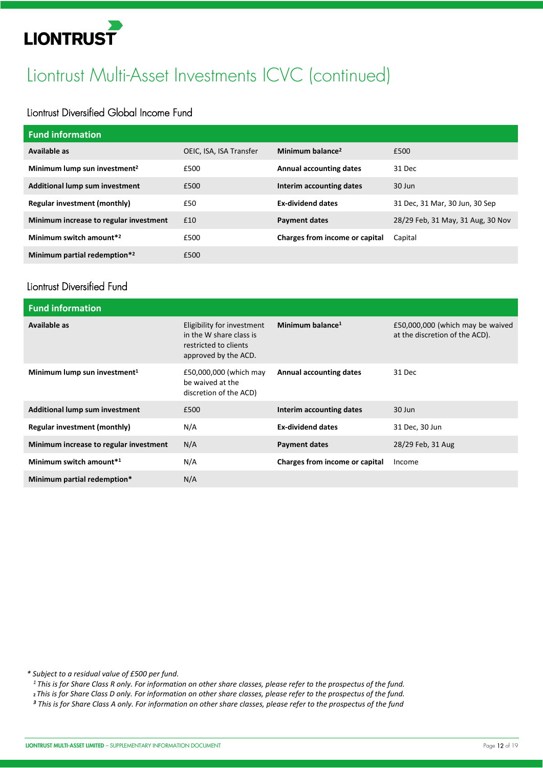# Liontrust Multi-Asset Investments ICVC (continued)

## Liontrust Diversified Global Income Fund

| <b>Fund information</b>                  |                         |                                |                                   |
|------------------------------------------|-------------------------|--------------------------------|-----------------------------------|
| Available as                             | OEIC, ISA, ISA Transfer | Minimum balance <sup>2</sup>   | £500                              |
| Minimum lump sun investment <sup>2</sup> | £500                    | <b>Annual accounting dates</b> | 31 Dec                            |
| Additional lump sum investment           | £500                    | Interim accounting dates       | $30$ Jun                          |
| <b>Regular investment (monthly)</b>      | £50                     | <b>Ex-dividend dates</b>       | 31 Dec, 31 Mar, 30 Jun, 30 Sep    |
| Minimum increase to regular investment   | £10                     | <b>Payment dates</b>           | 28/29 Feb, 31 May, 31 Aug, 30 Nov |
| Minimum switch amount <sup>*2</sup>      | £500                    | Charges from income or capital | Capital                           |
| Minimum partial redemption*2             | £500                    |                                |                                   |

### Liontrust Diversified Fund

| <b>Fund information</b>                  |                                                                                                        |                                |                                                                    |
|------------------------------------------|--------------------------------------------------------------------------------------------------------|--------------------------------|--------------------------------------------------------------------|
| Available as                             | Eligibility for investment<br>in the W share class is<br>restricted to clients<br>approved by the ACD. | Minimum balance <sup>1</sup>   | £50,000,000 (which may be waived<br>at the discretion of the ACD). |
| Minimum lump sun investment <sup>1</sup> | £50,000,000 (which may<br>be waived at the<br>discretion of the ACD)                                   | <b>Annual accounting dates</b> | 31 Dec                                                             |
| <b>Additional lump sum investment</b>    | £500                                                                                                   | Interim accounting dates       | $30$ Jun                                                           |
| <b>Regular investment (monthly)</b>      | N/A                                                                                                    | <b>Ex-dividend dates</b>       | 31 Dec, 30 Jun                                                     |
| Minimum increase to regular investment   | N/A                                                                                                    | <b>Payment dates</b>           | 28/29 Feb, 31 Aug                                                  |
| Minimum switch amount*1                  | N/A                                                                                                    | Charges from income or capital | Income                                                             |
| Minimum partial redemption*              | N/A                                                                                                    |                                |                                                                    |

*\* Subject to a residual value of £500 per fund.* 

*1 This is for Share Class R only. For information on other share classes, please refer to the prospectus of the fund.*

**<sup>2</sup>***This is for Share Class D only. For information on other share classes, please refer to the prospectus of the fund.*

*<sup>3</sup> This is for Share Class A only. For information on other share classes, please refer to the prospectus of the fund*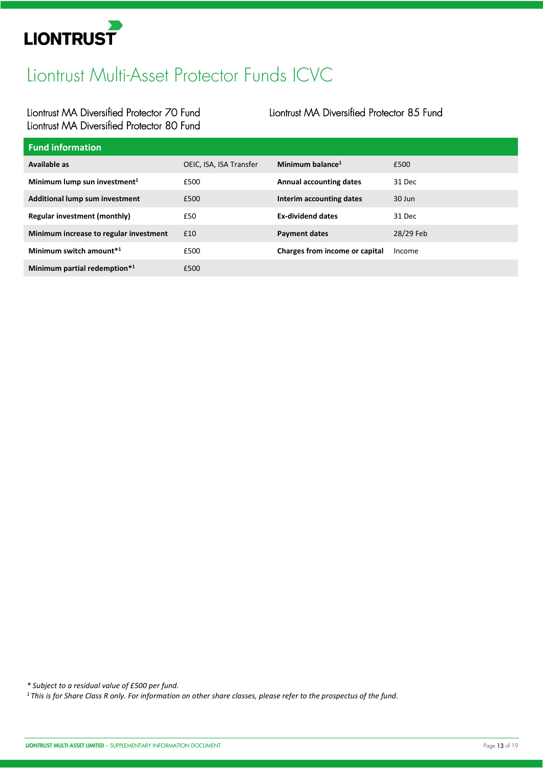

# Liontrust Multi-Asset Protector Funds ICVC

## Liontrust MA Diversified Protector 70 Fund Liontrust MA Diversified Protector 80 Fund

### Liontrust MA Diversified Protector 85 Fund

| <b>Fund information</b>                  |                         |                                |           |
|------------------------------------------|-------------------------|--------------------------------|-----------|
| Available as                             | OEIC, ISA, ISA Transfer | Minimum balance <sup>1</sup>   | £500      |
| Minimum lump sun investment <sup>1</sup> | £500                    | <b>Annual accounting dates</b> | 31 Dec    |
| <b>Additional lump sum investment</b>    | £500                    | Interim accounting dates       | 30 Jun    |
| Regular investment (monthly)             | £50                     | <b>Ex-dividend dates</b>       | 31 Dec    |
| Minimum increase to regular investment   | £10                     | <b>Payment dates</b>           | 28/29 Feb |
| Minimum switch amount <sup>*1</sup>      | £500                    | Charges from income or capital | Income    |
| Minimum partial redemption*1             | £500                    |                                |           |

*\* Subject to a residual value of £500 per fund.* 

*1 This is for Share Class R only. For information on other share classes, please refer to the prospectus of the fund.*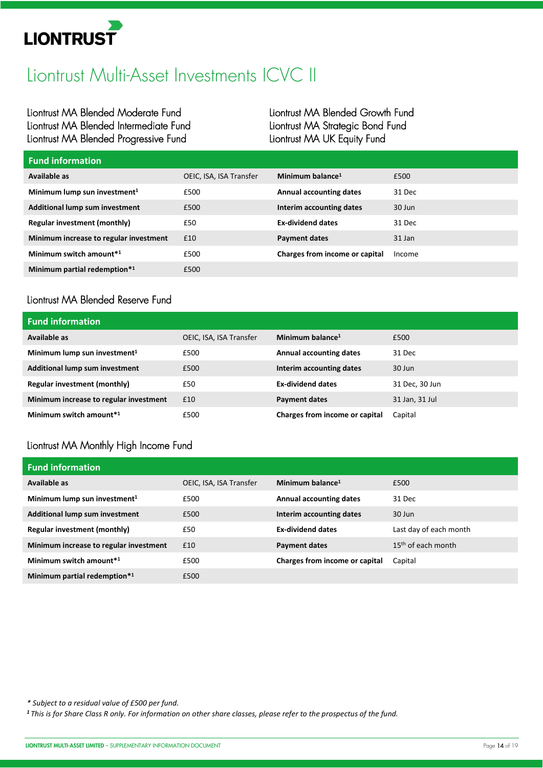

# Liontrust Multi-Asset Investments ICVC II

Liontrust MA Blended Moderate Fund Liontrust MA Blended Intermediate Fund Liontrust MA Blended Progressive Fund

Liontrust MA Blended Growth Fund Liontrust MA Strategic Bond Fund Liontrust MA UK Equity Fund

| <b>Fund information</b>                  |                         |                                |        |
|------------------------------------------|-------------------------|--------------------------------|--------|
| Available as                             | OEIC, ISA, ISA Transfer | Minimum balance <sup>1</sup>   | £500   |
| Minimum lump sun investment <sup>1</sup> | £500                    | <b>Annual accounting dates</b> | 31 Dec |
| <b>Additional lump sum investment</b>    | £500                    | Interim accounting dates       | 30 Jun |
| Regular investment (monthly)             | £50                     | <b>Ex-dividend dates</b>       | 31 Dec |
| Minimum increase to regular investment   | £10                     | <b>Payment dates</b>           | 31 Jan |
| Minimum switch amount*1                  | £500                    | Charges from income or capital | Income |
| Minimum partial redemption*1             | £500                    |                                |        |

# Liontrust MA Blended Reserve Fund

| <b>Fund information</b>                  |                         |                                |                |
|------------------------------------------|-------------------------|--------------------------------|----------------|
| Available as                             | OEIC, ISA, ISA Transfer | Minimum balance $1$            | £500           |
| Minimum lump sun investment <sup>1</sup> | £500                    | <b>Annual accounting dates</b> | 31 Dec         |
| <b>Additional lump sum investment</b>    | £500                    | Interim accounting dates       | 30 Jun         |
| <b>Regular investment (monthly)</b>      | £50                     | <b>Ex-dividend dates</b>       | 31 Dec, 30 Jun |
| Minimum increase to regular investment   | £10                     | <b>Payment dates</b>           | 31 Jan, 31 Jul |
| Minimum switch amount <sup>*1</sup>      | £500                    | Charges from income or capital | Capital        |

# Liontrust MA Monthly High Income Fund

| <b>Fund information</b>                  |                         |                                |                        |
|------------------------------------------|-------------------------|--------------------------------|------------------------|
| Available as                             | OEIC, ISA, ISA Transfer | Minimum balance $1$            | £500                   |
| Minimum lump sun investment <sup>1</sup> | £500                    | <b>Annual accounting dates</b> | 31 Dec                 |
| Additional lump sum investment           | £500                    | Interim accounting dates       | 30 Jun                 |
| Regular investment (monthly)             | £50                     | <b>Ex-dividend dates</b>       | Last day of each month |
| Minimum increase to regular investment   | £10                     | <b>Payment dates</b>           | $15th$ of each month   |
| Minimum switch amount <sup>*1</sup>      | £500                    | Charges from income or capital | Capital                |
| Minimum partial redemption*1             | £500                    |                                |                        |

*\* Subject to a residual value of £500 per fund.* 

*1 This is for Share Class R only. For information on other share classes, please refer to the prospectus of the fund.*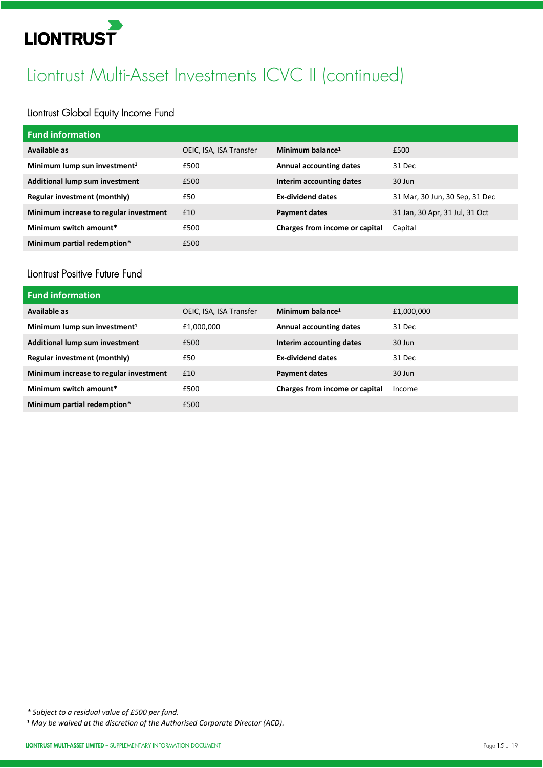# Liontrust Multi-Asset Investments ICVC II (continued)

# Liontrust Global Equity Income Fund

| <b>Fund information</b>                  |                         |                                |                                |
|------------------------------------------|-------------------------|--------------------------------|--------------------------------|
| Available as                             | OEIC, ISA, ISA Transfer | Minimum balance $1$            | £500                           |
| Minimum lump sun investment <sup>1</sup> | £500                    | <b>Annual accounting dates</b> | 31 Dec                         |
| Additional lump sum investment           | £500                    | Interim accounting dates       | 30 Jun                         |
| Regular investment (monthly)             | £50                     | <b>Ex-dividend dates</b>       | 31 Mar, 30 Jun, 30 Sep, 31 Dec |
| Minimum increase to regular investment   | £10                     | <b>Payment dates</b>           | 31 Jan, 30 Apr, 31 Jul, 31 Oct |
| Minimum switch amount*                   | £500                    | Charges from income or capital | Capital                        |
| Minimum partial redemption*              | £500                    |                                |                                |

### Liontrust Positive Future Fund

| <b>Fund information</b>                  |                         |                                |            |
|------------------------------------------|-------------------------|--------------------------------|------------|
| Available as                             | OEIC, ISA, ISA Transfer | Minimum balance $1$            | £1,000,000 |
| Minimum lump sun investment <sup>1</sup> | £1,000,000              | <b>Annual accounting dates</b> | 31 Dec     |
| Additional lump sum investment           | £500                    | Interim accounting dates       | $30$ Jun   |
| Regular investment (monthly)             | £50                     | <b>Ex-dividend dates</b>       | 31 Dec     |
| Minimum increase to regular investment   | £10                     | <b>Payment dates</b>           | $30$ Jun   |
| Minimum switch amount*                   | £500                    | Charges from income or capital | Income     |
| Minimum partial redemption*              | £500                    |                                |            |

*\* Subject to a residual value of £500 per fund.* 

*<sup>1</sup> May be waived at the discretion of the Authorised Corporate Director (ACD).*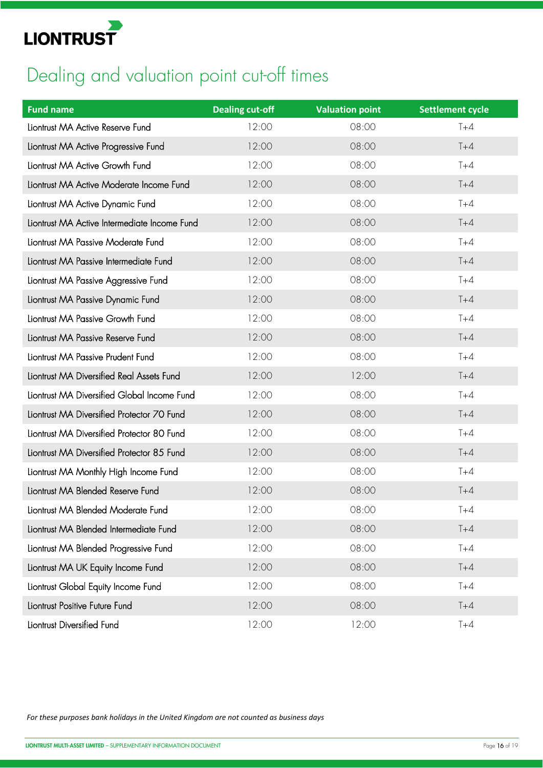

# Dealing and valuation point cut-off times

| <b>Fund name</b>                             | <b>Dealing cut-off</b> | <b>Valuation point</b> | <b>Settlement cycle</b> |
|----------------------------------------------|------------------------|------------------------|-------------------------|
| Liontrust MA Active Reserve Fund             | 12:00                  | 08:00                  | $T+4$                   |
| Liontrust MA Active Progressive Fund         | 12:00                  | 08:00                  | $T+4$                   |
| Liontrust MA Active Growth Fund              | 12:00                  | 08:00                  | $T+4$                   |
| Liontrust MA Active Moderate Income Fund     | 12:00                  | 08:00                  | $T+4$                   |
| Liontrust MA Active Dynamic Fund             | 12:00                  | 08:00                  | $T+4$                   |
| Liontrust MA Active Intermediate Income Fund | 12:00                  | 08:00                  | $T+4$                   |
| Liontrust MA Passive Moderate Fund           | 12:00                  | 08:00                  | $T+4$                   |
| Liontrust MA Passive Intermediate Fund       | 12:00                  | 08:00                  | $T+4$                   |
| Liontrust MA Passive Aggressive Fund         | 12:00                  | 08:00                  | $T+4$                   |
| Liontrust MA Passive Dynamic Fund            | 12:00                  | 08:00                  | $T+4$                   |
| Liontrust MA Passive Growth Fund             | 12:00                  | 08:00                  | $T+4$                   |
| Liontrust MA Passive Reserve Fund            | 12:00                  | 08:00                  | $T+4$                   |
| Liontrust MA Passive Prudent Fund            | 12:00                  | 08:00                  | $T+4$                   |
| Liontrust MA Diversified Real Assets Fund    | 12:00                  | 12:00                  | $T+4$                   |
| Liontrust MA Diversified Global Income Fund  | 12:00                  | 08:00                  | $T+4$                   |
| Liontrust MA Diversified Protector 70 Fund   | 12:00                  | 08:00                  | $T+4$                   |
| Liontrust MA Diversified Protector 80 Fund   | 12:00                  | 08:00                  | $T+4$                   |
| Liontrust MA Diversified Protector 85 Fund   | 12:00                  | 08:00                  | $T+4$                   |
| Liontrust MA Monthly High Income Fund        | 12:00                  | 08:00                  | $T+4$                   |
| Liontrust MA Blended Reserve Fund            | 12:00                  | 08:00                  | $T+4$                   |
| Liontrust MA Blended Moderate Fund           | 12:00                  | 08:00                  | T+4                     |
| Liontrust MA Blended Intermediate Fund       | 12:00                  | 08:00                  | $T+4$                   |
| Liontrust MA Blended Progressive Fund        | 12:00                  | 08:00                  | $T+4$                   |
| Liontrust MA UK Equity Income Fund           | 12:00                  | 08:00                  | $T+4$                   |
| Liontrust Global Equity Income Fund          | 12:00                  | 08:00                  | $T+4$                   |
| Liontrust Positive Future Fund               | 12:00                  | 08:00                  | $T+4$                   |
| Liontrust Diversified Fund                   | 12:00                  | 12:00                  | $T+4$                   |

*For these purposes bank holidays in the United Kingdom are not counted as business days*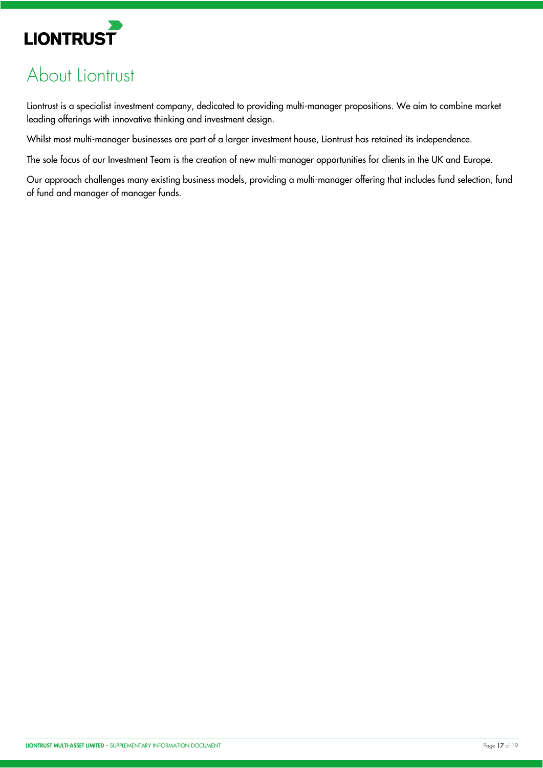

# About Liontrust

Liontrust is a specialist investment company, dedicated to providing multi-manager propositions. We aim to combine market leading offerings with innovative thinking and investment design.

Whilst most multi-manager businesses are part of a larger investment house, Liontrust has retained its independence.

The sole focus of our Investment Team is the creation of new multi-manager opportunities for clients in the UK and Europe.

Our approach challenges many existing business models, providing a multi-manager offering that includes fund selection, fund of fund and manager of manager funds.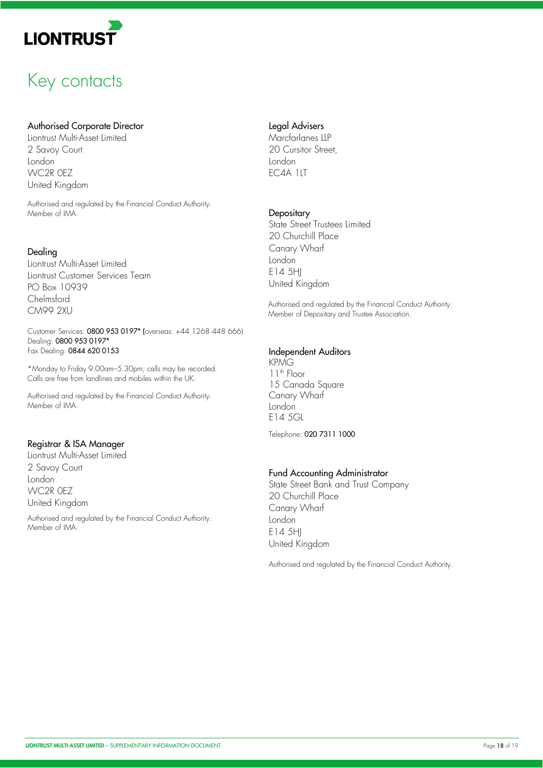

# Key contacts

#### Authorised Corporate Director

Liontrust Multi-Asset Limited 2 Savoy Court London WC2R 0EZ United Kingdom

Authorised and regulated by the Financial Conduct Authority. Member of IMA.

#### Dealing

Liontrust Multi-Asset Limited Liontrust Customer Services Team PO Box 10939 Chelmsford CM99 2XU

Customer Services: 0800 953 0197\* (overseas: +44 1268 448 666) Dealing: 0800 953 0197\* Fax Dealing: 0844 620 0153

\*Monday to Friday 9.00am–5.30pm; calls may be recorded. Calls are free from landlines and mobiles within the UK.

Authorised and regulated by the Financial Conduct Authority. Member of IMA.

#### Registrar & ISA Manager

Liontrust Multi-Asset Limited 2 Savoy Court London WC2R 0EZ United Kingdom

Authorised and regulated by the Financial Conduct Authority. Member of IMA.

#### Legal Advisers

Marcfarlanes LLP 20 Cursitor Street London EC4A 1LT

#### **Depositary**

State Street Trustees Limited 20 Churchill Place Canary Wharf London E14 5HJ United Kingdom

Authorised and regulated by the Financial Conduct Authority. Member of Depositary and Trustee Association.

#### Independent Auditors

KPMG 11<sup>th</sup> Floor 15 Canada Square Canary Wharf London E14 5GL

Telephone: 020 7311 1000

#### Fund Accounting Administrator

State Street Bank and Trust Company 20 Churchill Place Canary Wharf London E14 5HJ United Kingdom

Authorised and regulated by the Financial Conduct Authority.